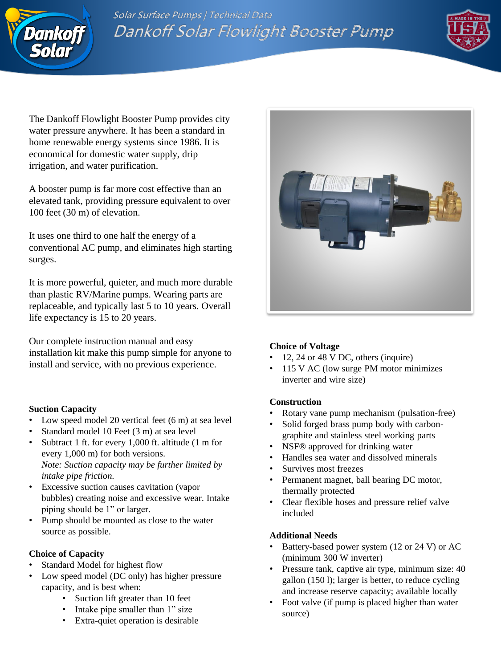

Solar Surface Pumps | Technical Data Dankoff Solar Flowlight Booster Pump



The Dankoff Flowlight Booster Pump provides city water pressure anywhere. It has been a standard in home renewable energy systems since 1986. It is economical for domestic water supply, drip irrigation, and water purification.

A booster pump is far more cost effective than an elevated tank, providing pressure equivalent to over 100 feet (30 m) of elevation.

It uses one third to one half the energy of a conventional AC pump, and eliminates high starting surges.

It is more powerful, quieter, and much more durable than plastic RV/Marine pumps. Wearing parts are replaceable, and typically last 5 to 10 years. Overall life expectancy is 15 to 20 years.

Our complete instruction manual and easy installation kit make this pump simple for anyone to install and service, with no previous experience.

# **Suction Capacity**

- Low speed model 20 vertical feet (6 m) at sea level
- Standard model 10 Feet (3 m) at sea level
- Subtract 1 ft. for every 1,000 ft. altitude (1 m for every 1,000 m) for both versions. *Note: Suction capacity may be further limited by intake pipe friction.*
- Excessive suction causes cavitation (vapor bubbles) creating noise and excessive wear. Intake piping should be 1" or larger.
- Pump should be mounted as close to the water source as possible.

# **Choice of Capacity**

- Standard Model for highest flow
- Low speed model (DC only) has higher pressure capacity, and is best when:
	- Suction lift greater than 10 feet
	- Intake pipe smaller than 1" size
	- Extra-quiet operation is desirable



# **Choice of Voltage**

- 12, 24 or 48 V DC, others (inquire)
- 115 V AC (low surge PM motor minimizes inverter and wire size)

# **Construction**

- Rotary vane pump mechanism (pulsation-free)
- Solid forged brass pump body with carbongraphite and stainless steel working parts
- NSF<sup>®</sup> approved for drinking water
- Handles sea water and dissolved minerals
- Survives most freezes
- Permanent magnet, ball bearing DC motor, thermally protected
- Clear flexible hoses and pressure relief valve included

# **Additional Needs**

- Battery-based power system (12 or 24 V) or AC (minimum 300 W inverter)
- Pressure tank, captive air type, minimum size: 40 gallon (150 l); larger is better, to reduce cycling and increase reserve capacity; available locally
- Foot valve (if pump is placed higher than water source)